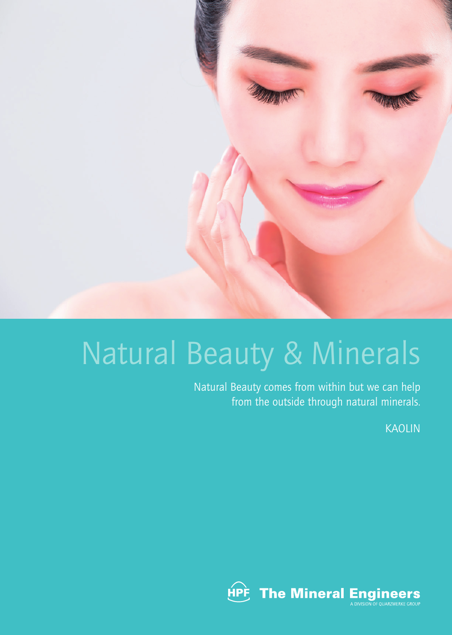

# Natural Beauty & Minerals

Natural Beauty comes from within but we can help from the outside through natural minerals.

KAOLIN

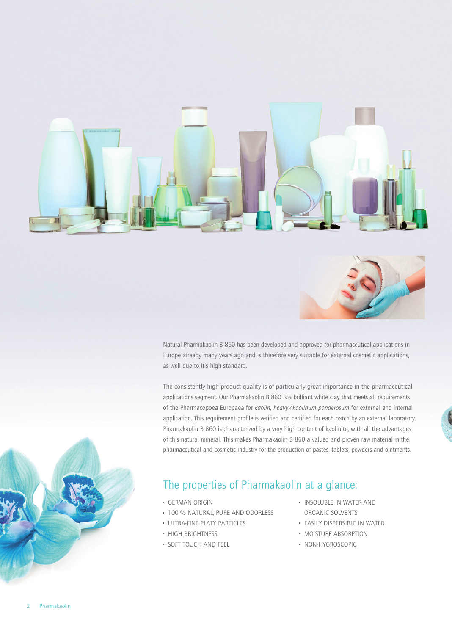



Natural Pharmakaolin B 860 has been developed and approved for pharmaceutical applications in Europe already many years ago and is therefore very suitable for external cosmetic applications, as well due to it's high standard.

The consistently high product quality is of particularly great importance in the pharmaceutical applications segment. Our Pharmakaolin B 860 is a brilliant white clay that meets all requirements of the Pharmacopoea Europaea for *kaolin, heavy/kaolinum ponderosum* for external and internal application. This requirement profile is verified and certified for each batch by an external laboratory. Pharmakaolin B 860 is characterized by a very high content of kaolinite, with all the advantages of this natural mineral. This makes Pharmakaolin B 860 a valued and proven raw material in the pharmaceutical and cosmetic industry for the production of pastes, tablets, powders and ointments.

#### The properties of Pharmakaolin at a glance:

- GERMAN ORIGIN
- 100 % NATURAL, PURE AND ODORLESS
- ULTRA-FINE PLATY PARTICLES
- **HIGH BRIGHTNESS**
- SOFT TOUCH AND FEEL
- **· INSOLUBLE IN WATER AND** ORGANIC SOLVENTS
- **EASILY DISPERSIBLE IN WATER**
- **MOISTURE ABSORPTION**
- · NON-HYGROSCOPIC

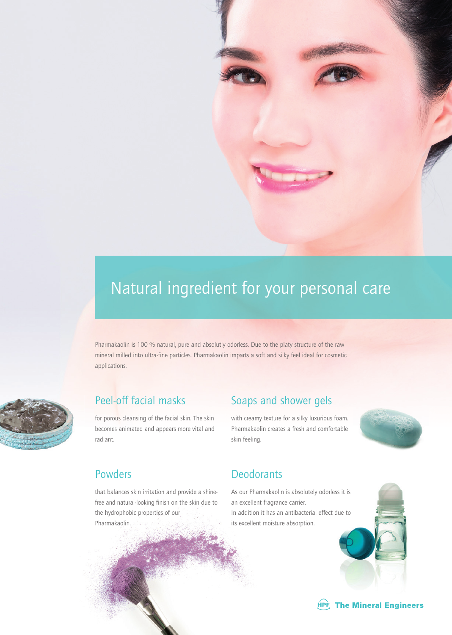

## Natural ingredient for your personal care

Pharmakaolin is 100 % natural, pure and absolutly odorless. Due to the platy structure of the raw mineral milled into ultra-fine particles, Pharmakaolin imparts a soft and silky feel ideal for cosmetic applications.



#### Peel-off facial masks

for porous cleansing of the facial skin. The skin becomes animated and appears more vital and radiant.

that balances skin irritation and provide a shinefree and natural-looking finish on the skin due to the hydrophobic properties of our Pharmakaolin.

### Soaps and shower gels

with creamy texture for a silky luxurious foam. Pharmakaolin creates a fresh and comfortable skin feeling.



#### Powders **Deodorants**

As our Pharmakaolin is absolutely odorless it is an excellent fragrance carrier. In addition it has an antibacterial effect due to its excellent moisture absorption.